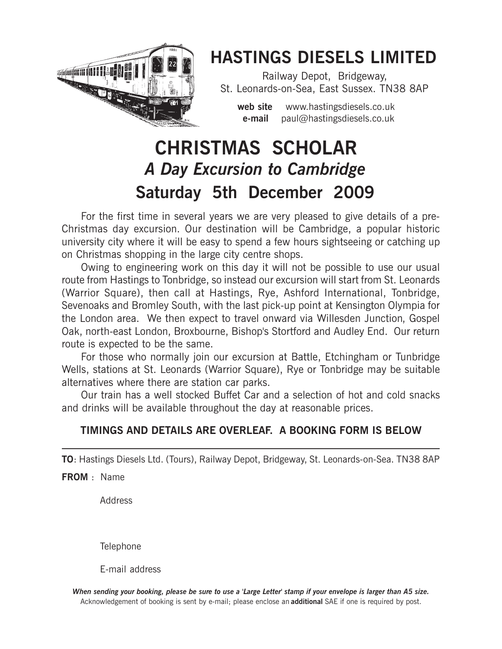

# HASTINGS DIESELS LIMITED

Railway Depot, Bridgeway, St. Leonards-on-Sea, East Sussex. TN38 8AP

web site www.hastingsdiesels.co.uk e-mail paul@hastingsdiesels.co.uk

# Saturday 5th December 2009 A Day Excursion to Cambridge CHRISTMAS SCHOLAR

For the first time in several years we are very pleased to give details of a pre-Christmas day excursion. Our destination will be Cambridge, a popular historic university city where it will be easy to spend a few hours sightseeing or catching up on Christmas shopping in the large city centre shops.

Owing to engineering work on this day it will not be possible to use our usual route from Hastings to Tonbridge, so instead our excursion will start from St. Leonards (Warrior Square), then call at Hastings, Rye, Ashford International, Tonbridge, Sevenoaks and Bromley South, with the last pick-up point at Kensington Olympia for the London area. We then expect to travel onward via Willesden Junction, Gospel Oak, north-east London, Broxbourne, Bishop's Stortford and Audley End. Our return route is expected to be the same.

For those who normally join our excursion at Battle, Etchingham or Tunbridge Wells, stations at St. Leonards (Warrior Square), Rye or Tonbridge may be suitable alternatives where there are station car parks.

Our train has a well stocked Buffet Car and a selection of hot and cold snacks and drinks will be available throughout the day at reasonable prices.

## TIMINGS AND DETAILS ARE OVERLEAF. A BOOKING FORM IS BELOW

TO: Hastings Diesels Ltd. (Tours), Railway Depot, Bridgeway, St. Leonards-on-Sea. TN38 8AP

FROM : Name

Address

**Telephone** 

E-mail address

When sending your booking, please be sure to use a 'Large Letter' stamp if your envelope is larger than A5 size. Acknowledgement of booking is sent by e-mail; please enclose an **additional** SAE if one is required by post.